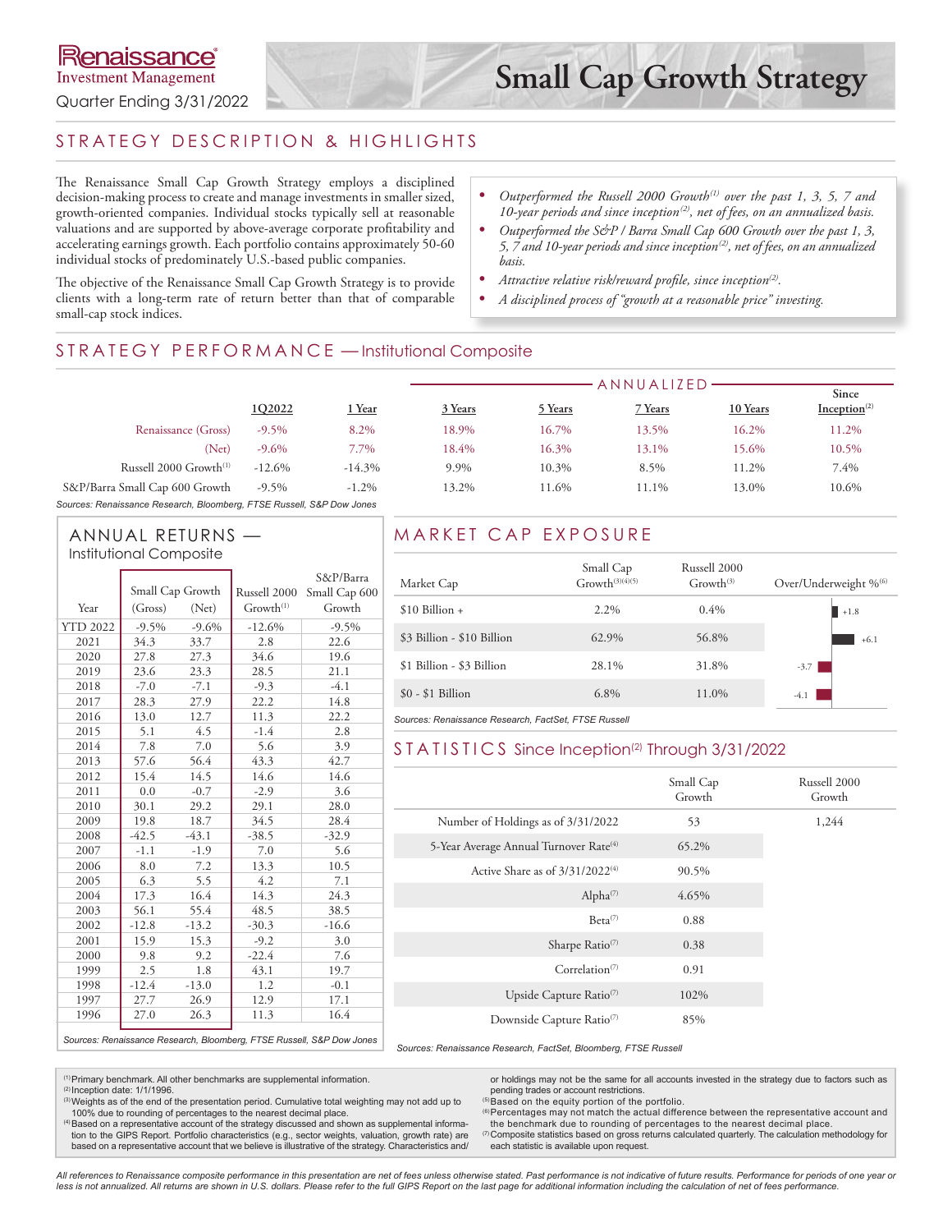# STRATEGY DESCRIPTION & HIGHLIGHTS

The Renaissance Small Cap Growth Strategy employs a disciplined decision-making process to create and manage investments in smaller sized, growth-oriented companies. Individual stocks typically sell at reasonable valuations and are supported by above-average corporate profitability and accelerating earnings growth. Each portfolio contains approximately 50-60 individual stocks of predominately U.S.-based public companies.

*• Outperformed the Russell 2000 Growth(1) over the past 1, 3, 5, 7 and 10-year periods and since inception(2), net of fees, on an annualized basis.*

- *• Outperformed the S&P / Barra Small Cap 600 Growth over the past 1, 3, 5, 7 and 10-year periods and since inception(2), net of fees, on an annualized basis.*
- *• Attractive relative risk/reward profile, since inception(2).*
- *• A disciplined process of "growth at a reasonable price" investing.*

The objective of the Renaissance Small Cap Growth Strategy is to provide clients with a long-term rate of return better than that of comparable small-cap stock indices.

## STRATEGY PERFORMANCE - Institutional Composite

|                                    |          |           |         |         | ANNUALIZED |          |                          |
|------------------------------------|----------|-----------|---------|---------|------------|----------|--------------------------|
|                                    |          |           |         |         |            |          | Since                    |
|                                    | 1Q2022   | Year      | 3 Years | 5 Years | 7 Years    | 10 Years | Inception <sup>(2)</sup> |
| Renaissance (Gross)                | $-9.5%$  | 8.2%      | 18.9%   | 16.7%   | 13.5%      | 16.2%    | 11.2%                    |
| (Net)                              | $-9.6\%$ | 7.7%      | 18.4%   | 16.3%   | 13.1%      | 15.6%    | 10.5%                    |
| Russell 2000 Growth <sup>(1)</sup> | $-12.6%$ | $-14.3\%$ | 9.9%    | 10.3%   | 8.5%       | 11.2%    | 7.4%                     |
| S&P/Barra Small Cap 600 Growth     | $-9.5\%$ | $-1.2\%$  | 13.2%   | 11.6%   | 11.1%      | 13.0%    | 10.6%                    |
|                                    |          |           |         |         |            |          |                          |

*Sources: Renaissance Research, Bloomberg, FTSE Russell, S&P Dow Jones*

#### ANNUAL RETURNS — Institutional Composite

|                 |                  |         |                       | S&P/Barra     |  |  |
|-----------------|------------------|---------|-----------------------|---------------|--|--|
|                 | Small Cap Growth |         | Russell 2000          | Small Cap 600 |  |  |
| Year            | (Gross)          | (Net)   | Growth <sup>(1)</sup> | Growth        |  |  |
| <b>YTD 2022</b> | $-9.5%$          | $-9.6%$ | $-12.6%$              | $-9.5%$       |  |  |
| 2021            | 34.3             | 33.7    | 2.8                   | 22.6          |  |  |
| 2020            | 27.8             | 27.3    | 34.6                  | 19.6          |  |  |
| 2019            | 23.6             | 23.3    | 28.5                  | 21.1          |  |  |
| 2018            | $-7.0$           | $-7.1$  | $-9.3$                | $-4.1$        |  |  |
| 2017            | 28.3             | 27.9    | 22.2                  | 14.8          |  |  |
| 2016            | 13.0             | 12.7    | 11.3                  | 22.2          |  |  |
| 2015            | 5.1              | 4.5     | $-1.4$                | 2.8           |  |  |
| 2014            | 7.8              | 7.0     | 5.6                   | 3.9           |  |  |
| 2013            | 57.6             | 56.4    | 43.3                  | 42.7          |  |  |
| 2012            | 15.4             | 14.5    | 14.6                  | 14.6          |  |  |
| 2011            | 0.0              | $-0.7$  | $-2.9$                | 3.6           |  |  |
| 2010            | 30.1             | 29.2    | 29.1                  | 28.0          |  |  |
| 2009            | 19.8             | 18.7    | 34.5                  | 28.4          |  |  |
| 2008            | $-42.5$          | $-43.1$ | $-38.5$               | $-32.9$       |  |  |
| 2007            | -1.1             | $-1.9$  | 7.0                   | 5.6           |  |  |
| 2006            | 8.0              | 7.2     | 13.3                  | 10.5          |  |  |
| 2005            | 6.3              | 5.5     | 4.2                   | 7.1           |  |  |
| 2004            | 17.3             | 16.4    | 14.3                  | 24.3          |  |  |
| 2003            | 56.1             | 55.4    | 48.5                  | 38.5          |  |  |
| 2002            | $-12.8$          | $-13.2$ | $-30.3$               | $-16.6$       |  |  |
| 2001            | 15.9             | 15.3    | $-9.2$                | 3.0           |  |  |
| 2000            | 9.8              | 9.2     | $-22.4$               | 7.6           |  |  |
| 1999            | 2.5              | 1.8     | 43.1                  | 19.7          |  |  |
| 1998            | $-12.4$          | $-13.0$ | 1.2                   | $-0.1$        |  |  |
| 1997            | 27.7             | 26.9    | 12.9                  | 17.1          |  |  |
| 1996            | 27.0             | 26.3    | 11.3                  | 16.4          |  |  |

# MARKET CAP EXPOSURE

| Market Cap                 | Small Cap<br>$G$ rowth $(3)(4)(5)$ | Russell 2000<br>$G$ rowth <sup>(3)</sup> | Over/Underweight % <sup>66</sup> |
|----------------------------|------------------------------------|------------------------------------------|----------------------------------|
| $$10$ Billion +            | $2.2\%$                            | $0.4\%$                                  | $+1.8$                           |
| \$3 Billion - \$10 Billion | 62.9%                              | 56.8%                                    | $+6.1$                           |
| \$1 Billion - \$3 Billion  | 28.1%                              | 31.8%                                    | $-3.7$                           |
| $$0 - $1$ Billion          | $6.8\%$                            | 11.0%                                    | $-4.1$                           |

*Sources: Renaissance Research, FactSet, FTSE Russell*

#### STATISTICS Since Inception<sup>(2)</sup> Through 3/31/2022

|                                                    | Small Cap<br>Growth | Russell 2000<br>Growth |
|----------------------------------------------------|---------------------|------------------------|
| Number of Holdings as of 3/31/2022                 | 53                  | 1,244                  |
| 5-Year Average Annual Turnover Rate <sup>(4)</sup> | 65.2%               |                        |
| Active Share as of $3/31/2022^{(4)}$               | 90.5%               |                        |
| Alpha <sup>(7)</sup>                               | 4.65%               |                        |
| $Beta^{(7)}$                                       | 0.88                |                        |
| Sharpe Ratio <sup>(7)</sup>                        | 0.38                |                        |
| Correlation <sup><math>(7)</math></sup>            | 0.91                |                        |
| Upside Capture Ratio <sup>(7)</sup>                | 102%                |                        |
| Downside Capture Ratio <sup>(7)</sup>              | 85%                 |                        |

 *Sources: Renaissance Research, FactSet, Bloomberg, FTSE Russell*

(1)Primary benchmark. All other benchmarks are supplemental information.

(2) Inception date: 1/1/1996.

(3) Weights as of the end of the presentation period. Cumulative total weighting may not add up to 100% due to rounding of percentages to the nearest decimal place.

<sup>(4)</sup> Based on a representative account of the strategy discussed and shown as supplemental information to the GIPS Report. Portfolio characteristics (e.g., sector weights, valuation, growth rate) are based on a representative account that we believe is illustrative of the strategy. Characteristics and/

or holdings may not be the same for all accounts invested in the strategy due to factors such as pending trades or account restrictions.

(5)Based on the equity portion of the portfolio.

(6) Percentages may not match the actual difference between the representative account and the benchmark due to rounding of percentages to the nearest decimal place.

(7)Composite statistics based on gross returns calculated quarterly. The calculation methodology for each statistic is available upon request.

*All references to Renaissance composite performance in this presentation are net of fees unless otherwise stated. Past performance is not indicative of future results. Performance for periods of one year or*  less is not annualized. All returns are shown in U.S. dollars. Please refer to the full GIPS Report on the last page for additional information including the calculation of net of fees performance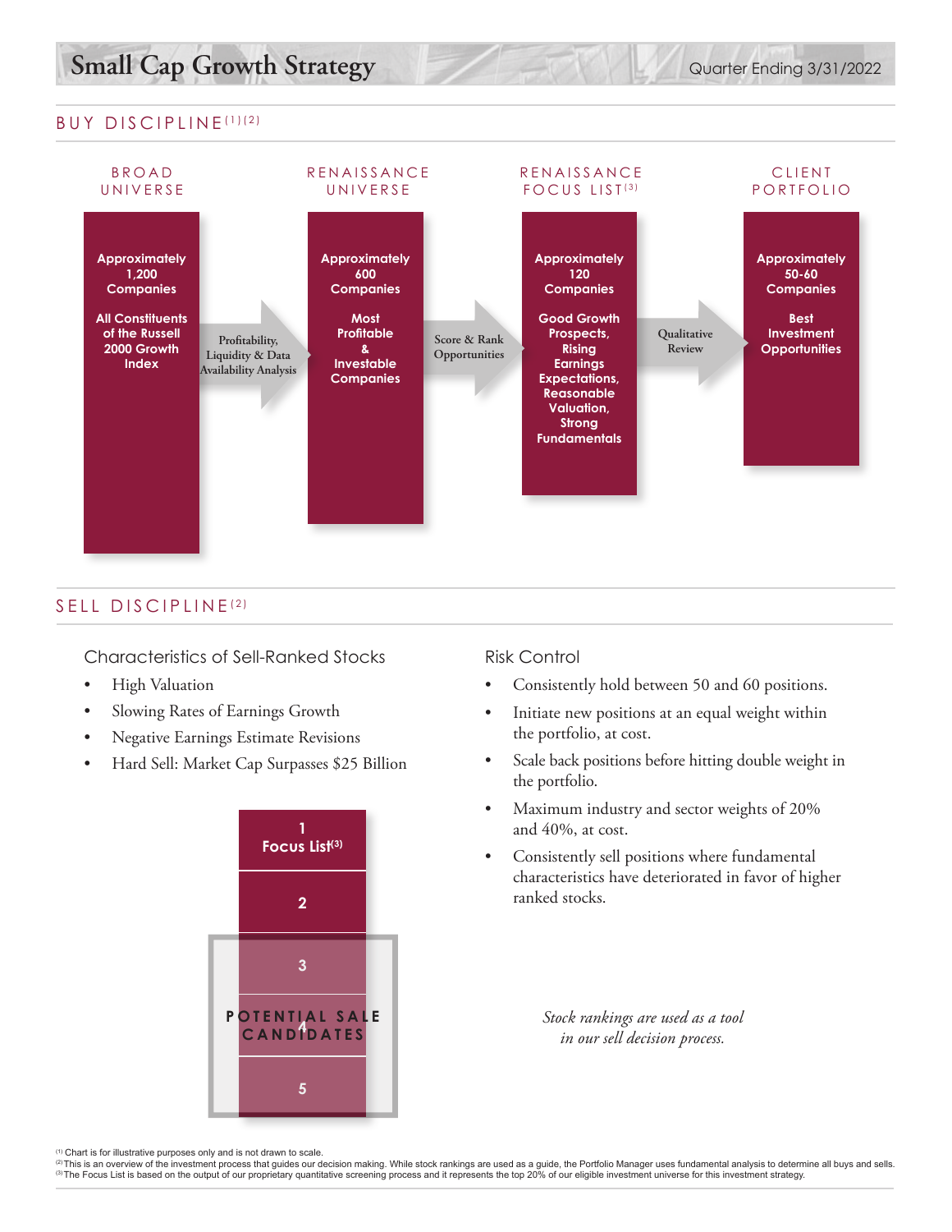### BUY DISCIPLINE (1)(2)



### SELL DISCIPLINE (2)

Characteristics of Sell-Ranked Stocks

- High Valuation
- Slowing Rates of Earnings Growth
- Negative Earnings Estimate Revisions
- Hard Sell: Market Cap Surpasses \$25 Billion



#### Risk Control

- Consistently hold between 50 and 60 positions.
- Initiate new positions at an equal weight within the portfolio, at cost.
- Scale back positions before hitting double weight in the portfolio.
- Maximum industry and sector weights of 20% and 40%, at cost.
- Consistently sell positions where fundamental characteristics have deteriorated in favor of higher ranked stocks.

*Stock rankings are used as a tool in our sell decision process.*

<sup>&</sup>lt;sup>(1)</sup> Chart is for illustrative purposes only and is not drawn to scale.<br><sup>②</sup>This is an overview of the investment process that quides our decision making. While stock rankings are used as a quide, the Portfolio Manager use (3) The Focus List is based on the output of our proprietary quantitative screening process and it represents the top 20% of our eligible investment universe for this investment strategy.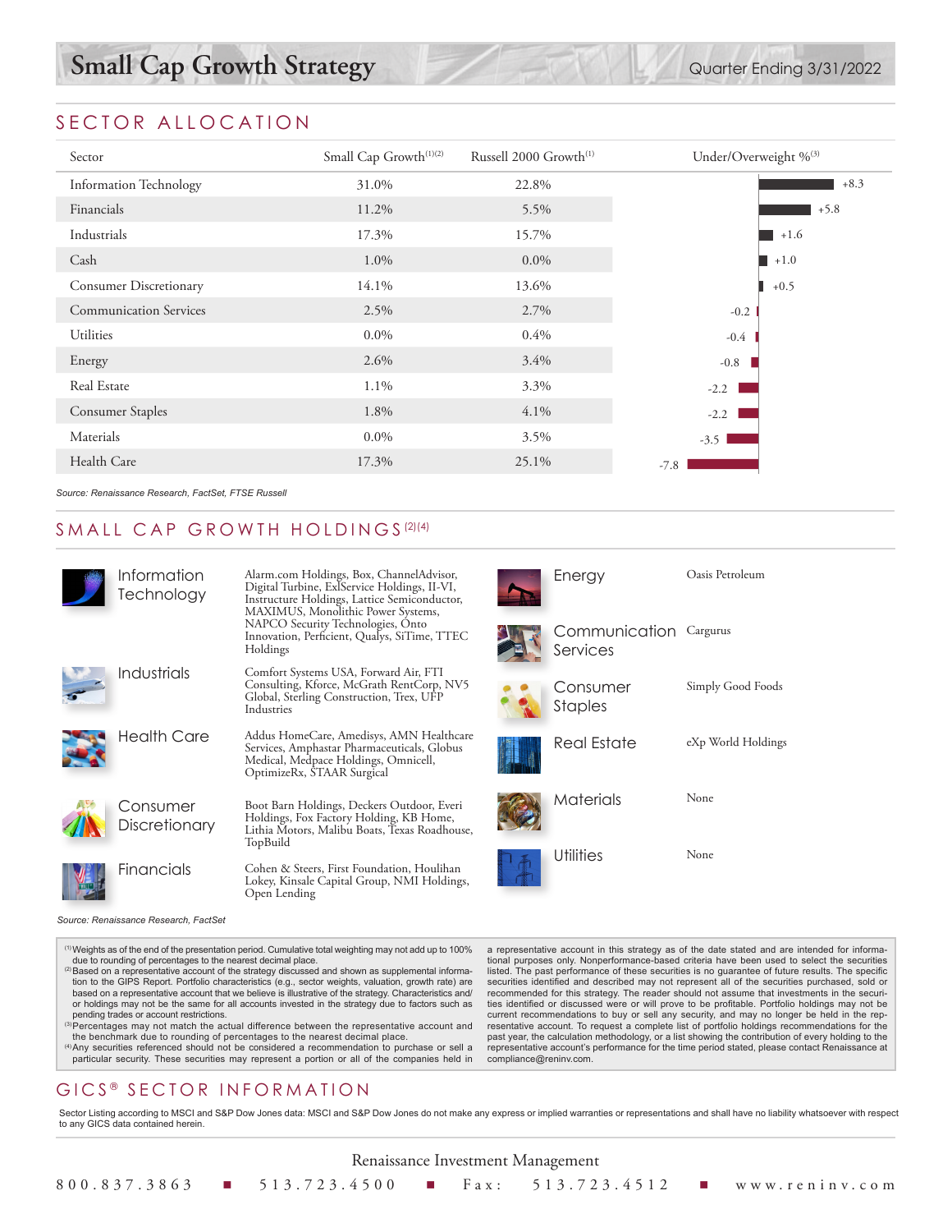# **Small Cap Growth Strategy** Quarter Ending 3/31/2022

# SECTOR ALLOCATION

| Sector                        | Small Cap Growth <sup>(1)(2)</sup><br>Russell 2000 Growth <sup>(1)</sup> |         | Under/Overweight % <sup>(3)</sup> |
|-------------------------------|--------------------------------------------------------------------------|---------|-----------------------------------|
| <b>Information Technology</b> | 31.0%                                                                    | 22.8%   | $+8.3$                            |
| Financials                    | 11.2%                                                                    | 5.5%    | $+5.8$                            |
| Industrials                   | 17.3%                                                                    | 15.7%   | $+1.6$                            |
| Cash                          | 1.0%                                                                     | $0.0\%$ | $\blacksquare$ +1.0               |
| Consumer Discretionary        | 14.1%                                                                    | 13.6%   | $+0.5$                            |
| <b>Communication Services</b> | 2.5%                                                                     | 2.7%    | $-0.2$                            |
| Utilities                     | $0.0\%$                                                                  | 0.4%    | $-0.4$                            |
| Energy                        | 2.6%                                                                     | 3.4%    | $-0.8$                            |
| Real Estate                   | 1.1%                                                                     | 3.3%    | $-2.2$                            |
| <b>Consumer Staples</b>       | 1.8%                                                                     | $4.1\%$ | $-2.2$                            |
| Materials                     | $0.0\%$                                                                  | 3.5%    | $-3.5$                            |
| Health Care                   | 17.3%                                                                    | 25.1%   | $-7.8$                            |
|                               |                                                                          |         |                                   |

*Source: Renaissance Research, FactSet, FTSE Russell*

## SMALL CAP GROWTH HOLDINGS<sup>(2)(4)</sup>

| Information<br>Technology | Alarm.com Holdings, Box, ChannelAdvisor,<br>Digital Turbine, ExlService Holdings, II-VI,<br>Instructure Holdings, Lattice Semiconductor,<br>MAXIMUS, Monolithic Power Systems, | Energy                             | Oasis Petroleum    |
|---------------------------|--------------------------------------------------------------------------------------------------------------------------------------------------------------------------------|------------------------------------|--------------------|
|                           | NAPCO Security Technologies, Onto<br>Innovation, Perficient, Qualys, SiTime, TTEC<br>Holdings                                                                                  | Communication Cargurus<br>Services |                    |
| Industrials               | Comfort Systems USA, Forward Air, FTI<br>Consulting, Kforce, McGrath RentCorp, NV5<br>Global, Sterling Construction, Trex, UFP<br>Industries                                   | Consumer<br><b>Staples</b>         | Simply Good Foods  |
| <b>Health Care</b>        | Addus HomeCare, Amedisys, AMN Healthcare<br>Services, Amphastar Pharmaceuticals, Globus<br>Medical, Medpace Holdings, Omnicell,<br>OptimizeRx, STAAR Surgical                  | <b>Real Estate</b>                 | eXp World Holdings |
| Consumer<br>Discretionary | Boot Barn Holdings, Deckers Outdoor, Everi<br>Holdings, Fox Factory Holding, KB Home,<br>Lithia Motors, Malibu Boats, Texas Roadhouse,<br>TopBuild                             | Materials                          | None               |
| Financials                | Cohen & Steers, First Foundation, Houlihan<br>Lokey, Kinsale Capital Group, NMI Holdings,<br>Open Lending                                                                      | Utilities                          | None               |

*Source: Renaissance Research, FactSet*

(1)Weights as of the end of the presentation period. Cumulative total weighting may not add up to 100% due to rounding of percentages to the nearest decimal place.

- <sup>(2)</sup> Based on a representative account of the strategy discussed and shown as supplemental information to the GIPS Report. Portfolio characteristics (e.g., sector weights, valuation, growth rate) are based on a representative account that we believe is illustrative of the strategy. Characteristics and/ or holdings may not be the same for all accounts invested in the strategy due to factors such as pending trades or account restrictions.
- <sup>(3)</sup>Percentages may not match the actual difference between the representative account and the benchmark due to rounding of percentages to the nearest decimal place. (4)Any securities referenced should not be considered a recommendation to purchase or sell a
- particular security. These securities may represent a portion or all of the companies held in

# GICS<sup>®</sup> SECTOR INFORMATION

a representative account in this strategy as of the date stated and are intended for informational purposes only. Nonperformance-based criteria have been used to select the securities listed. The past performance of these securities is no guarantee of future results. The specific securities identified and described may not represent all of the securities purchased, sold or recommended for this strategy. The reader should not assume that investments in the securities identified or discussed were or will prove to be profitable. Portfolio holdings may not be current recommendations to buy or sell any security, and may no longer be held in the representative account. To request a complete list of portfolio holdings recommendations for the past year, the calculation methodology, or a list showing the contribution of every holding to the representative account's performance for the time period stated, please contact Renaissance at compliance@reninv.com.

Sector Listing according to MSCI and S&P Dow Jones data: MSCI and S&P Dow Jones do not make any express or implied warranties or representations and shall have no liability whatsoever with respect to any GICS data contained herein.

| Renaissance Investment Management |  |  |  |  |  |  |                                                                  |  |
|-----------------------------------|--|--|--|--|--|--|------------------------------------------------------------------|--|
|                                   |  |  |  |  |  |  | 800.837.3863 ■ 513.723.4500 ■ Fax: 513.723.4512 ■ www.reninv.com |  |